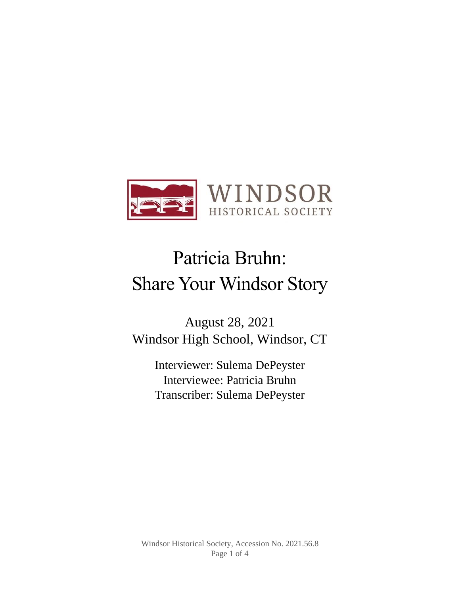

# Patricia Bruhn: Share Your Windsor Story

August 28, 2021 Windsor High School, Windsor, CT

> Interviewer: Sulema DePeyster Interviewee: Patricia Bruhn Transcriber: Sulema DePeyster

Windsor Historical Society, Accession No. 2021.56.8 Page 1 of 4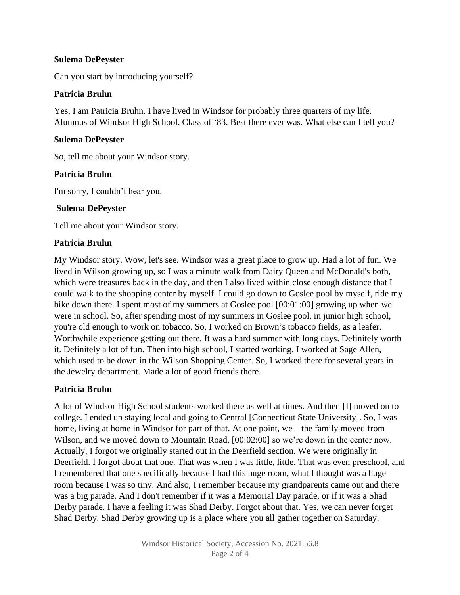#### **Sulema DePeyster**

Can you start by introducing yourself?

#### **Patricia Bruhn**

Yes, I am Patricia Bruhn. I have lived in Windsor for probably three quarters of my life. Alumnus of Windsor High School. Class of '83. Best there ever was. What else can I tell you?

#### **Sulema DePeyster**

So, tell me about your Windsor story.

#### **Patricia Bruhn**

I'm sorry, I couldn't hear you.

#### **Sulema DePeyster**

Tell me about your Windsor story.

#### **Patricia Bruhn**

My Windsor story. Wow, let's see. Windsor was a great place to grow up. Had a lot of fun. We lived in Wilson growing up, so I was a minute walk from Dairy Queen and McDonald's both, which were treasures back in the day, and then I also lived within close enough distance that I could walk to the shopping center by myself. I could go down to Goslee pool by myself, ride my bike down there. I spent most of my summers at Goslee pool [00:01:00] growing up when we were in school. So, after spending most of my summers in Goslee pool, in junior high school, you're old enough to work on tobacco. So, I worked on Brown's tobacco fields, as a leafer. Worthwhile experience getting out there. It was a hard summer with long days. Definitely worth it. Definitely a lot of fun. Then into high school, I started working. I worked at Sage Allen, which used to be down in the Wilson Shopping Center. So, I worked there for several years in the Jewelry department. Made a lot of good friends there.

## **Patricia Bruhn**

A lot of Windsor High School students worked there as well at times. And then [I] moved on to college. I ended up staying local and going to Central [Connecticut State University]. So, I was home, living at home in Windsor for part of that. At one point, we – the family moved from Wilson, and we moved down to Mountain Road, [00:02:00] so we're down in the center now. Actually, I forgot we originally started out in the Deerfield section. We were originally in Deerfield. I forgot about that one. That was when I was little, little. That was even preschool, and I remembered that one specifically because I had this huge room, what I thought was a huge room because I was so tiny. And also, I remember because my grandparents came out and there was a big parade. And I don't remember if it was a Memorial Day parade, or if it was a Shad Derby parade. I have a feeling it was Shad Derby. Forgot about that. Yes, we can never forget Shad Derby. Shad Derby growing up is a place where you all gather together on Saturday.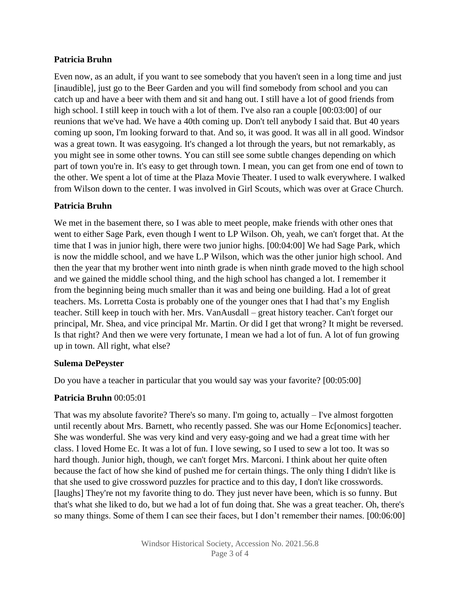## **Patricia Bruhn**

Even now, as an adult, if you want to see somebody that you haven't seen in a long time and just [inaudible], just go to the Beer Garden and you will find somebody from school and you can catch up and have a beer with them and sit and hang out. I still have a lot of good friends from high school. I still keep in touch with a lot of them. I've also ran a couple  $[00:03:00]$  of our reunions that we've had. We have a 40th coming up. Don't tell anybody I said that. But 40 years coming up soon, I'm looking forward to that. And so, it was good. It was all in all good. Windsor was a great town. It was easygoing. It's changed a lot through the years, but not remarkably, as you might see in some other towns. You can still see some subtle changes depending on which part of town you're in. It's easy to get through town. I mean, you can get from one end of town to the other. We spent a lot of time at the Plaza Movie Theater. I used to walk everywhere. I walked from Wilson down to the center. I was involved in Girl Scouts, which was over at Grace Church.

## **Patricia Bruhn**

We met in the basement there, so I was able to meet people, make friends with other ones that went to either Sage Park, even though I went to LP Wilson. Oh, yeah, we can't forget that. At the time that I was in junior high, there were two junior highs. [00:04:00] We had Sage Park, which is now the middle school, and we have L.P Wilson, which was the other junior high school. And then the year that my brother went into ninth grade is when ninth grade moved to the high school and we gained the middle school thing, and the high school has changed a lot. I remember it from the beginning being much smaller than it was and being one building. Had a lot of great teachers. Ms. Lorretta Costa is probably one of the younger ones that I had that's my English teacher. Still keep in touch with her. Mrs. VanAusdall – great history teacher. Can't forget our principal, Mr. Shea, and vice principal Mr. Martin. Or did I get that wrong? It might be reversed. Is that right? And then we were very fortunate, I mean we had a lot of fun. A lot of fun growing up in town. All right, what else?

## **Sulema DePeyster**

Do you have a teacher in particular that you would say was your favorite? [00:05:00]

## **Patricia Bruhn** 00:05:01

That was my absolute favorite? There's so many. I'm going to, actually  $-$  I've almost forgotten until recently about Mrs. Barnett, who recently passed. She was our Home Ec<sup>[</sup>onomics] teacher. She was wonderful. She was very kind and very easy-going and we had a great time with her class. I loved Home Ec. It was a lot of fun. I love sewing, so I used to sew a lot too. It was so hard though. Junior high, though, we can't forget Mrs. Marconi. I think about her quite often because the fact of how she kind of pushed me for certain things. The only thing I didn't like is that she used to give crossword puzzles for practice and to this day, I don't like crosswords. [laughs] They're not my favorite thing to do. They just never have been, which is so funny. But that's what she liked to do, but we had a lot of fun doing that. She was a great teacher. Oh, there's so many things. Some of them I can see their faces, but I don't remember their names. [00:06:00]